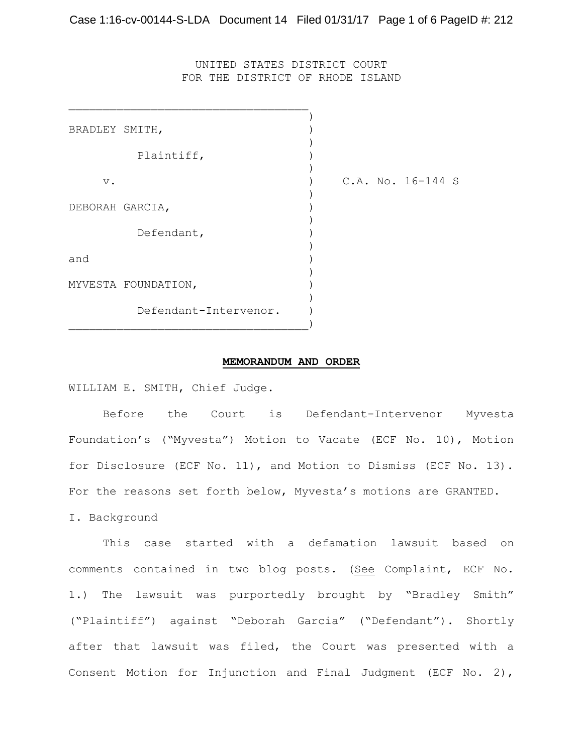UNITED STATES DISTRICT COURT FOR THE DISTRICT OF RHODE ISLAND

| BRADLEY SMITH,  |                       |  |                   |  |
|-----------------|-----------------------|--|-------------------|--|
|                 |                       |  |                   |  |
|                 | Plaintiff,            |  |                   |  |
|                 |                       |  |                   |  |
| $V$ .           |                       |  | C.A. No. 16-144 S |  |
| DEBORAH GARCIA, |                       |  |                   |  |
|                 |                       |  |                   |  |
|                 | Defendant,            |  |                   |  |
|                 |                       |  |                   |  |
| and             |                       |  |                   |  |
|                 |                       |  |                   |  |
|                 | MYVESTA FOUNDATION,   |  |                   |  |
|                 | Defendant-Intervenor. |  |                   |  |
|                 |                       |  |                   |  |
|                 |                       |  |                   |  |

### **MEMORANDUM AND ORDER**

WILLIAM E. SMITH, Chief Judge.

Before the Court is Defendant-Intervenor Myvesta Foundation's ("Myvesta") Motion to Vacate (ECF No. 10), Motion for Disclosure (ECF No. 11), and Motion to Dismiss (ECF No. 13). For the reasons set forth below, Myvesta's motions are GRANTED. I. Background

This case started with a defamation lawsuit based on comments contained in two blog posts. (See Complaint, ECF No. 1.) The lawsuit was purportedly brought by "Bradley Smith" ("Plaintiff") against "Deborah Garcia" ("Defendant"). Shortly after that lawsuit was filed, the Court was presented with a Consent Motion for Injunction and Final Judgment (ECF No. 2),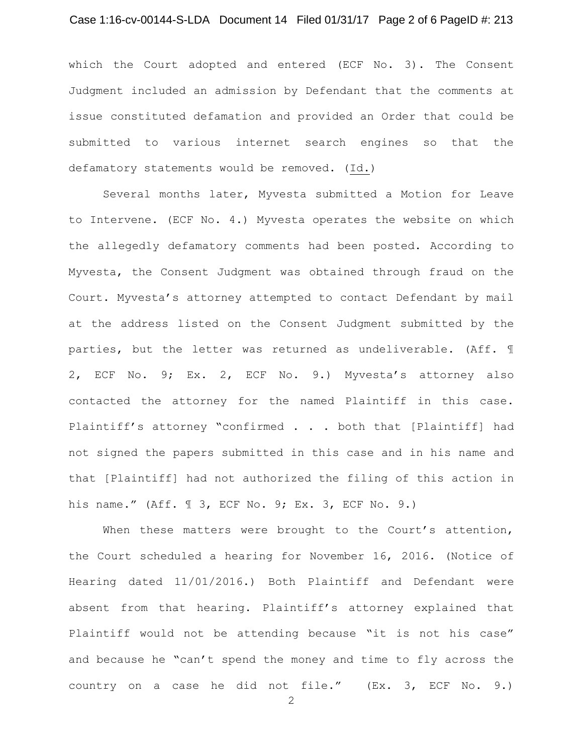## Case 1:16-cv-00144-S-LDA Document 14 Filed 01/31/17 Page 2 of 6 PageID #: 213

which the Court adopted and entered (ECF No. 3). The Consent Judgment included an admission by Defendant that the comments at issue constituted defamation and provided an Order that could be submitted to various internet search engines so that the defamatory statements would be removed. (Id.)

Several months later, Myvesta submitted a Motion for Leave to Intervene. (ECF No. 4.) Myvesta operates the website on which the allegedly defamatory comments had been posted. According to Myvesta, the Consent Judgment was obtained through fraud on the Court. Myvesta's attorney attempted to contact Defendant by mail at the address listed on the Consent Judgment submitted by the parties, but the letter was returned as undeliverable. (Aff. ¶ 2, ECF No. 9; Ex. 2, ECF No. 9.) Myvesta's attorney also contacted the attorney for the named Plaintiff in this case. Plaintiff's attorney "confirmed . . . both that [Plaintiff] had not signed the papers submitted in this case and in his name and that [Plaintiff] had not authorized the filing of this action in his name." (Aff. ¶ 3, ECF No. 9; Ex. 3, ECF No. 9.)

When these matters were brought to the Court's attention, the Court scheduled a hearing for November 16, 2016. (Notice of Hearing dated 11/01/2016.) Both Plaintiff and Defendant were absent from that hearing. Plaintiff's attorney explained that Plaintiff would not be attending because "it is not his case" and because he "can't spend the money and time to fly across the country on a case he did not file." (Ex. 3, ECF No. 9.)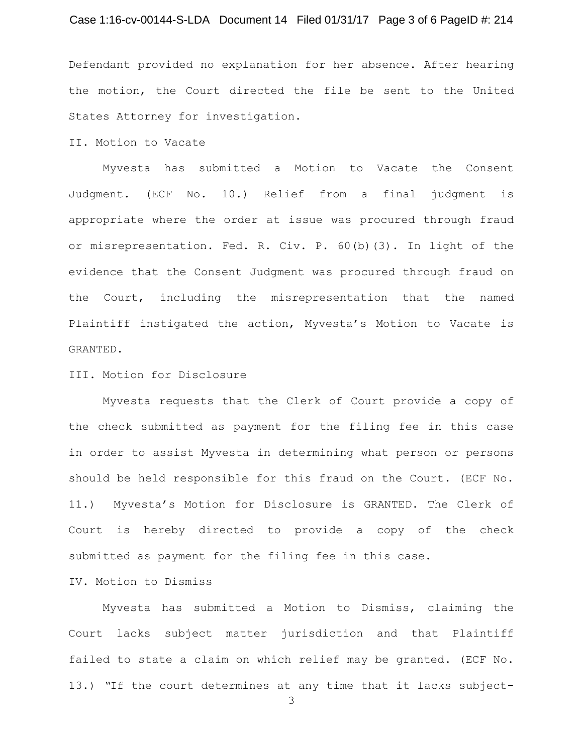## Case 1:16-cv-00144-S-LDA Document 14 Filed 01/31/17 Page 3 of 6 PageID #: 214

Defendant provided no explanation for her absence. After hearing the motion, the Court directed the file be sent to the United States Attorney for investigation.

II. Motion to Vacate

Myvesta has submitted a Motion to Vacate the Consent Judgment. (ECF No. 10.) Relief from a final judgment is appropriate where the order at issue was procured through fraud or misrepresentation. Fed. R. Civ. P. 60(b)(3). In light of the evidence that the Consent Judgment was procured through fraud on the Court, including the misrepresentation that the named Plaintiff instigated the action, Myvesta's Motion to Vacate is GRANTED.

III. Motion for Disclosure

Myvesta requests that the Clerk of Court provide a copy of the check submitted as payment for the filing fee in this case in order to assist Myvesta in determining what person or persons should be held responsible for this fraud on the Court. (ECF No. 11.) Myvesta's Motion for Disclosure is GRANTED. The Clerk of Court is hereby directed to provide a copy of the check submitted as payment for the filing fee in this case.

IV. Motion to Dismiss

Myvesta has submitted a Motion to Dismiss, claiming the Court lacks subject matter jurisdiction and that Plaintiff failed to state a claim on which relief may be granted. (ECF No. 13.) *"*If the court determines at any time that it lacks subject-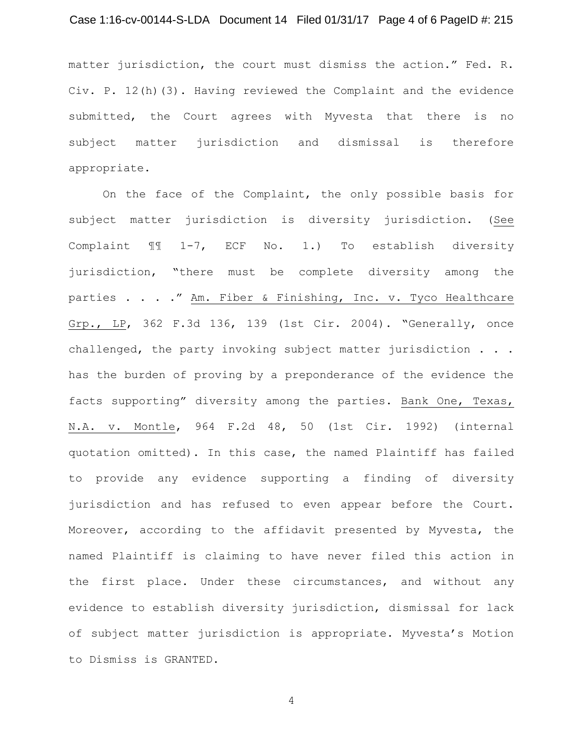## Case 1:16-cv-00144-S-LDA Document 14 Filed 01/31/17 Page 4 of 6 PageID #: 215

matter jurisdiction, the court must dismiss the action." Fed. R. Civ. P. 12(h)(3). Having reviewed the Complaint and the evidence submitted, the Court agrees with Myvesta that there is no subject matter jurisdiction and dismissal is therefore appropriate.

On the face of the Complaint, the only possible basis for subject matter jurisdiction is diversity jurisdiction. (See Complaint ¶¶ 1-7, ECF No. 1.) To establish diversity jurisdiction, "there must be complete diversity among the parties . . . ." Am. Fiber & Finishing, Inc. v. Tyco Healthcare Grp., LP, 362 F.3d 136, 139 (1st Cir. 2004). "Generally, once challenged, the party invoking subject matter jurisdiction . . . has the burden of proving by a preponderance of the evidence the facts supporting" diversity among the parties. Bank One, Texas, N.A. v. Montle, 964 F.2d 48, 50 (1st Cir. 1992) (internal quotation omitted). In this case, the named Plaintiff has failed to provide any evidence supporting a finding of diversity jurisdiction and has refused to even appear before the Court. Moreover, according to the affidavit presented by Myvesta, the named Plaintiff is claiming to have never filed this action in the first place. Under these circumstances, and without any evidence to establish diversity jurisdiction, dismissal for lack of subject matter jurisdiction is appropriate. Myvesta's Motion to Dismiss is GRANTED.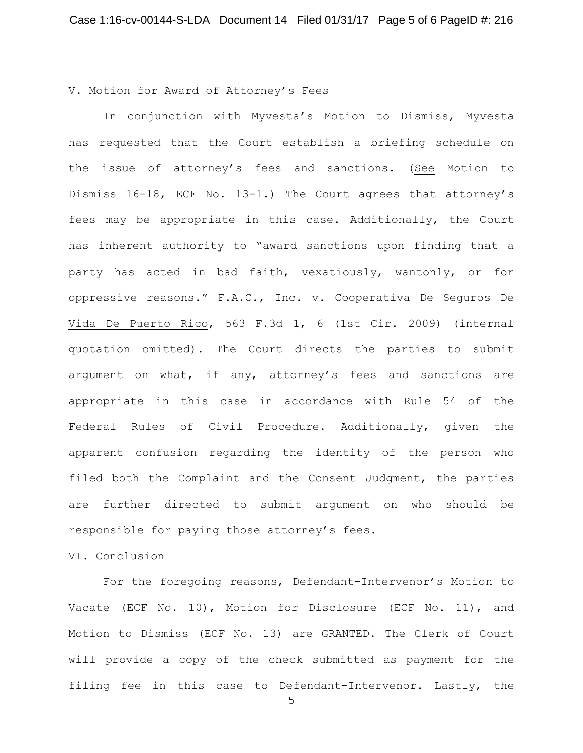V. Motion for Award of Attorney's Fees

In conjunction with Myvesta's Motion to Dismiss, Myvesta has requested that the Court establish a briefing schedule on the issue of attorney's fees and sanctions. (See Motion to Dismiss 16-18, ECF No. 13-1.) The Court agrees that attorney's fees may be appropriate in this case. Additionally, the Court has inherent authority to "award sanctions upon finding that a party has acted in bad faith, vexatiously, wantonly, or for oppressive reasons." F.A.C., Inc. v. Cooperativa De Seguros De Vida De Puerto Rico, 563 F.3d 1, 6 (1st Cir. 2009) (internal quotation omitted). The Court directs the parties to submit argument on what, if any, attorney's fees and sanctions are appropriate in this case in accordance with Rule 54 of the Federal Rules of Civil Procedure. Additionally, given the apparent confusion regarding the identity of the person who filed both the Complaint and the Consent Judgment, the parties are further directed to submit argument on who should be responsible for paying those attorney's fees.

# VI. Conclusion

For the foregoing reasons, Defendant-Intervenor's Motion to Vacate (ECF No. 10), Motion for Disclosure (ECF No. 11), and Motion to Dismiss (ECF No. 13) are GRANTED. The Clerk of Court will provide a copy of the check submitted as payment for the filing fee in this case to Defendant-Intervenor. Lastly, the